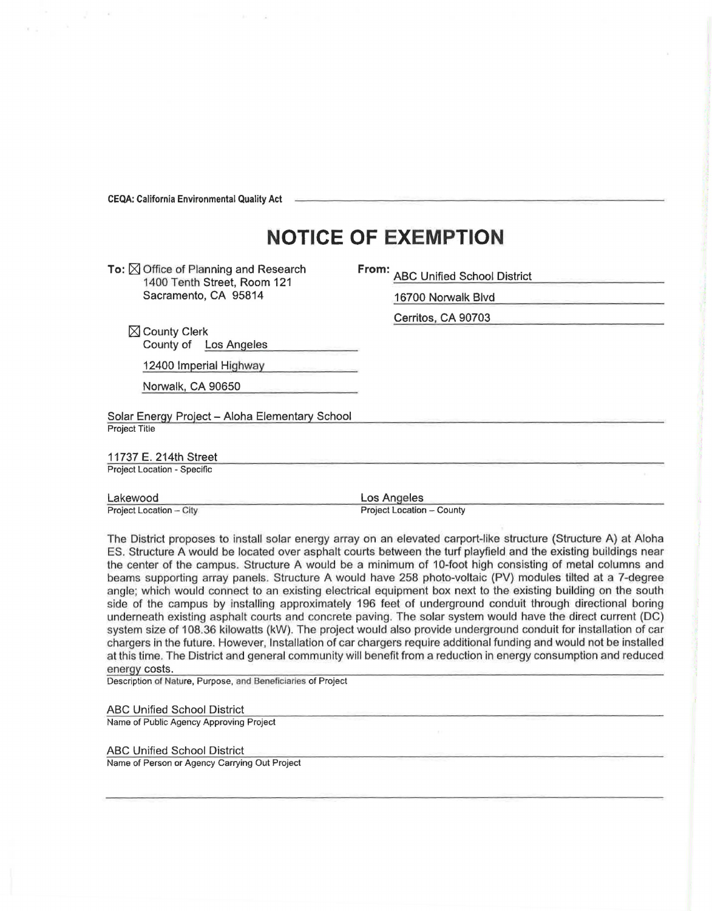**CEQA: California Environmental Quality Act** 

## **NOTICE OF EXEMPTION**

**To: ⊠ Office of Planning and Research** 1400 Tenth Street, Room 121 Sacramento, CA 95814

**From:** ABC Unified School District

16700 Norwalk Blvd

Cerritos, CA 90703

 $\boxtimes$  County Clerk County of Los Angeles

12400 Imperial Highway

Norwalk, CA 90650

Solar Energy Project - Aloha Elementary School Project Title

11737 E. 214th Street Project Location - Specific

Lakewood Project Location - City Los Angeles

Project Location - County

The District proposes to install solar energy array on an elevated carport-like structure (Structure A) at Aloha ES. Structure A would be located over asphalt courts between the turf playfleld and the existing buildings near the center of the campus. Structure A would be a minimum of 10-foot high consisting of metal columns and beams supporting array panels. Structure A would have 258 photo-voltaic (PV) modules tilted at a 7-degree angle; which would connect to an existing electrical equipment box next to the existing building on the south side of the campus by installing approximately 196 feet of underground conduit through directional boring underneath existing asphalt courts and concrete paving. The solar system would have the direct current (DC) system size of 108.36 kilowatts (kW). The project would also provide underground conduit for installation of car chargers in the future. However, Installation of car chargers require additional funding ahd would not be installed at this time. The District and general community will benefit from a reduction in energy consumption and reduced energy costs.

Description of Nature, Purpose, and Beneficiaries of Project

ABC Unified School District

Name of Public Agency Approving Project

ABC Unified School District

Name of Person or Agency Carrying Out Project